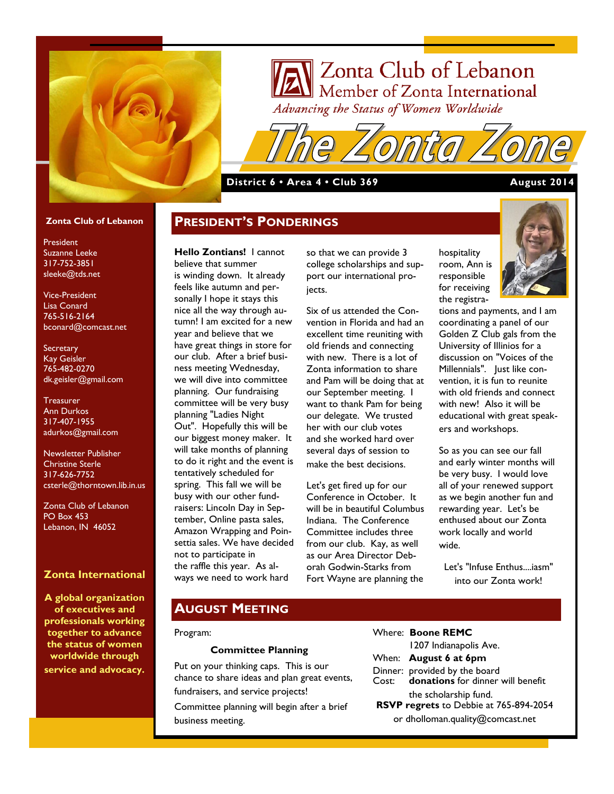

# Zonta Club of Lebanon Member of Zonta International<br>deanging the Status of Women Worldwide Advancing the Status of Women Worldwide

## **District 6 • Area 4 • Club 369 August 2014**

**PRESIDENT'S PONDERINGS**

#### **Zonta Club of Lebanon**

President Suzanne Leeke 317-752-3851 sleeke@tds.net

Vice-President Lisa Conard 765-516-2164 bconard@comcast.net

**Secretary** Kay Geisler 765-482-0270 dk.geisler@gmail.com

**Treasurer** Ann Durkos 317-407-1955 adurkos@gmail.com

Newsletter Publisher Christine Sterle 317-626-7752 csterle@thorntown.lib.in.us

Zonta Club of Lebanon PO Box 453 Lebanon, IN 46052

### **Zonta International**

**A global organization of executives and professionals working together to advance the status of women worldwide through service and advocacy.**

**Hello Zontians!** I cannot believe that summer is winding down. It already feels like autumn and personally I hope it stays this nice all the way through autumn! I am excited for a new year and believe that we have great things in store for our club. After a brief business meeting Wednesday, we will dive into committee planning. Our fundraising committee will be very busy planning "Ladies Night Out". Hopefully this will be our biggest money maker. It will take months of planning to do it right and the event is tentatively scheduled for spring. This fall we will be busy with our other fundraisers: Lincoln Day in September, Online pasta sales, Amazon Wrapping and Poinsettia sales. We have decided not to participate in the raffle this year. As always we need to work hard

so that we can provide 3 college scholarships and support our international projects.

Six of us attended the Convention in Florida and had an excellent time reuniting with old friends and connecting with new. There is a lot of Zonta information to share and Pam will be doing that at our September meeting. I want to thank Pam for being our delegate. We trusted her with our club votes and she worked hard over several days of session to make the best decisions.

Let's get fired up for our Conference in October. It will be in beautiful Columbus Indiana. The Conference Committee includes three from our club. Kay, as well as our Area Director Deborah Godwin-Starks from Fort Wayne are planning the

hospitality room, Ann is responsible for receiving the registra-



tions and payments, and I am coordinating a panel of our Golden Z Club gals from the University of Illinios for a discussion on "Voices of the Millennials". Just like convention, it is fun to reunite with old friends and connect with new! Also it will be educational with great speakers and workshops.

So as you can see our fall and early winter months will be very busy. I would love all of your renewed support as we begin another fun and rewarding year. Let's be enthused about our Zonta work locally and world wide.

Let's "Infuse Enthus....iasm" into our Zonta work!

# **AUGUST MEETING**

#### Program:

#### **Committee Planning**

Put on your thinking caps. This is our chance to share ideas and plan great events, fundraisers, and service projects! Committee planning will begin after a brief business meeting.

Where: **Boone REMC** 1207 Indianapolis Ave. When: **August 6 at 6pm** Dinner: provided by the board Cost: **donations** for dinner will benefit the scholarship fund. **RSVP regrets** to Debbie at 765-894-2054 or dholloman.quality@comcast.net